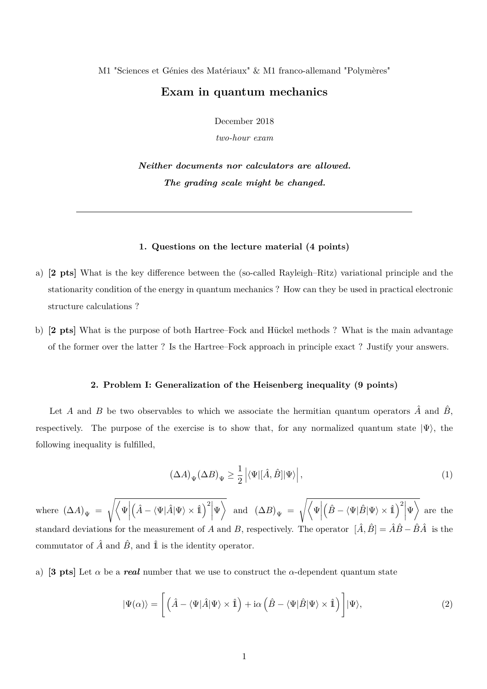M1 "Sciences et Génies des Matériaux" & M1 franco-allemand "Polymères"

## **Exam in quantum mechanics**

December 2018

*two-hour exam*

*Neither documents nor calculators are allowed. The grading scale might be changed.*

## **1. Questions on the lecture material (4 points)**

- a) **[2 pts]** What is the key difference between the (so-called Rayleigh–Ritz) variational principle and the stationarity condition of the energy in quantum mechanics ? How can they be used in practical electronic structure calculations ?
- b) **[2 pts]** What is the purpose of both Hartree–Fock and Hückel methods ? What is the main advantage of the former over the latter ? Is the Hartree–Fock approach in principle exact ? Justify your answers.

## **2. Problem I: Generalization of the Heisenberg inequality (9 points)**

Let *A* and *B* be two observables to which we associate the hermitian quantum operators  $\hat{A}$  and  $\hat{B}$ , respectively. The purpose of the exercise is to show that, for any normalized quantum state  $|\Psi\rangle$ , the following inequality is fulfilled,

$$
(\Delta A)_{\Psi}(\Delta B)_{\Psi} \ge \frac{1}{2} \left| \langle \Psi | [\hat{A}, \hat{B}] | \Psi \rangle \right|, \tag{1}
$$

where  $(\Delta A)_{\Psi} = \sqrt{\langle \Psi |}$  $\left(\hat{A} - \langle \Psi | \hat{A} | \Psi \rangle \times \hat{\mathbb{1}}\right)^2$  $\overline{\Psi}\bigg\rangle \ \ {\rm and} \ \ \ (\Delta B)_{\Psi}\ =\ \sqrt{\bigg\langle\Psi\bigg|}$  $\left(\hat{B} - \langle \Psi | \hat{B} | \Psi \rangle \times \hat{\mathbb{1}}\right)^2$  $|\Psi\rangle$  are the standard deviations for the measurement of *A* and *B*, respectively. The operator  $[\hat{A}, \hat{B}] = \hat{A}\hat{B} - \hat{B}\hat{A}$  is the commutator of  $\hat{A}$  and  $\hat{B}$ , and  $\hat{I}$  is the identity operator.

a) **[3 pts]** Let  $\alpha$  be a *real* number that we use to construct the  $\alpha$ -dependent quantum state

$$
|\Psi(\alpha)\rangle = \left[ \left( \hat{A} - \langle \Psi | \hat{A} | \Psi \rangle \times \hat{\mathbb{1}} \right) + i\alpha \left( \hat{B} - \langle \Psi | \hat{B} | \Psi \rangle \times \hat{\mathbb{1}} \right) \right] |\Psi\rangle, \tag{2}
$$